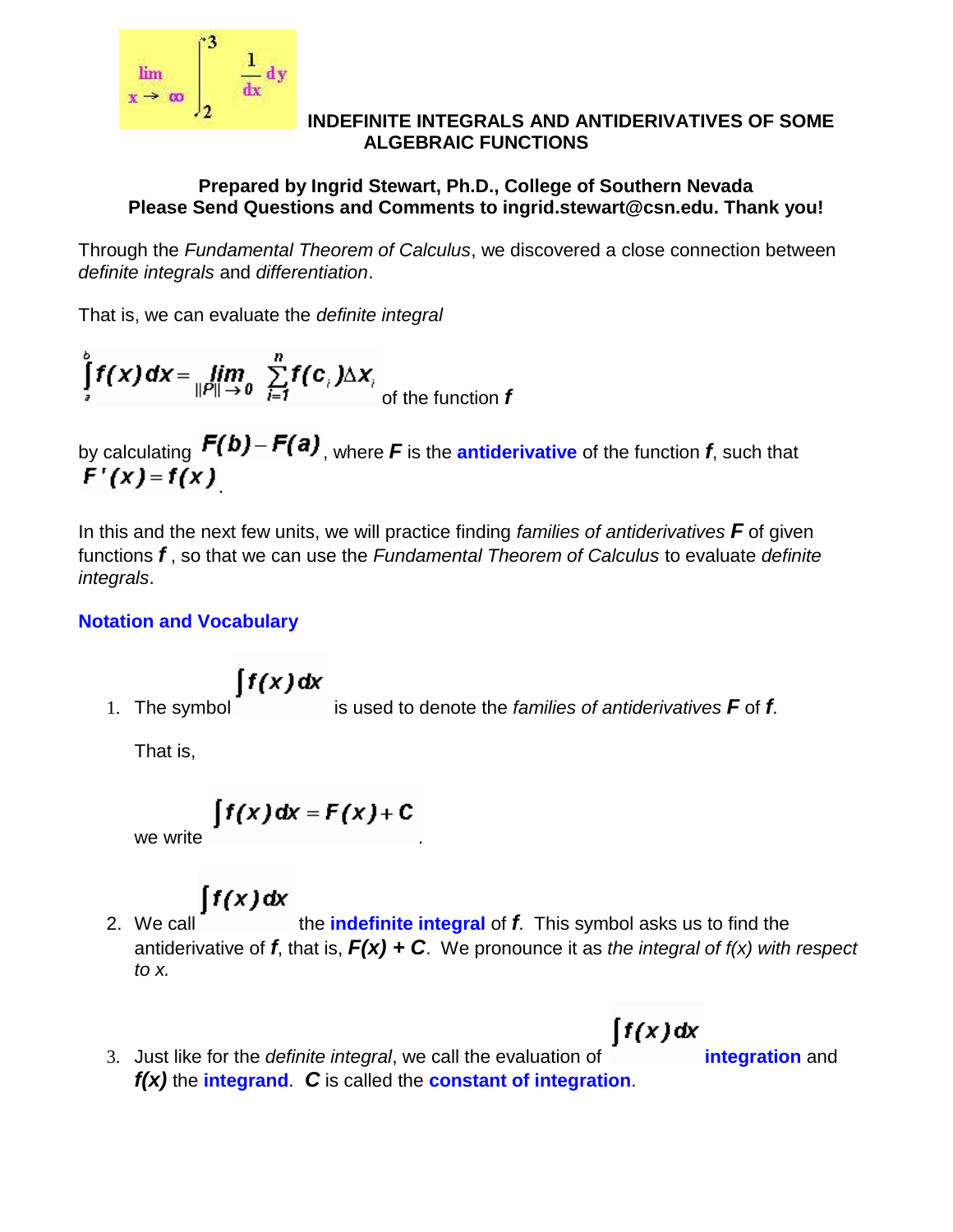

#### **INDEFINITE INTEGRALS AND ANTIDERIVATIVES OF SOME ALGEBRAIC FUNCTIONS**

### **Prepared by Ingrid Stewart, Ph.D., College of Southern Nevada Please Send Questions and Comments to ingrid.stewart@csn.edu. Thank you!**

Through the *Fundamental Theorem of Calculus*, we discovered a close connection between *definite integrals* and *differentiation*.

That is, we can evaluate the *definite integral* 

$$
\int_{a}^{b} f(x) dx = \lim_{\|P\| \to 0} \sum_{i=1}^{n} f(c_i) \Delta x_i
$$
of the function f

by calculating  $\Gamma(P) - \Gamma(P)$ , where F is the **antiderivative** of the function *f*, such that .

In this and the next few units, we will practice finding *families of antiderivatives F* of given functions *f* , so that we can use the *Fundamental Theorem of Calculus* to evaluate *definite integrals*.

## **Notation and Vocabulary**

$$
\int f(x) \, dx
$$

1. The symbol is used to denote the *families of antiderivatives F* of *f*.

That is,

$$
\int f(x) dx = F(x) + C
$$

we write

# $\int f(x) dx$

- 2. We call the **indefinite integral** of **f**. This symbol asks us to find the antiderivative of *f*, that is, *F(x) + C*. We pronounce it as *the integral of f(x) with respect to x.*
	- $\int f(x) dx$
- 3. Just like for the *definite integral*, we call the evaluation of **integration** and *f(x)* the **integrand**. *C* is called the **constant of integration**.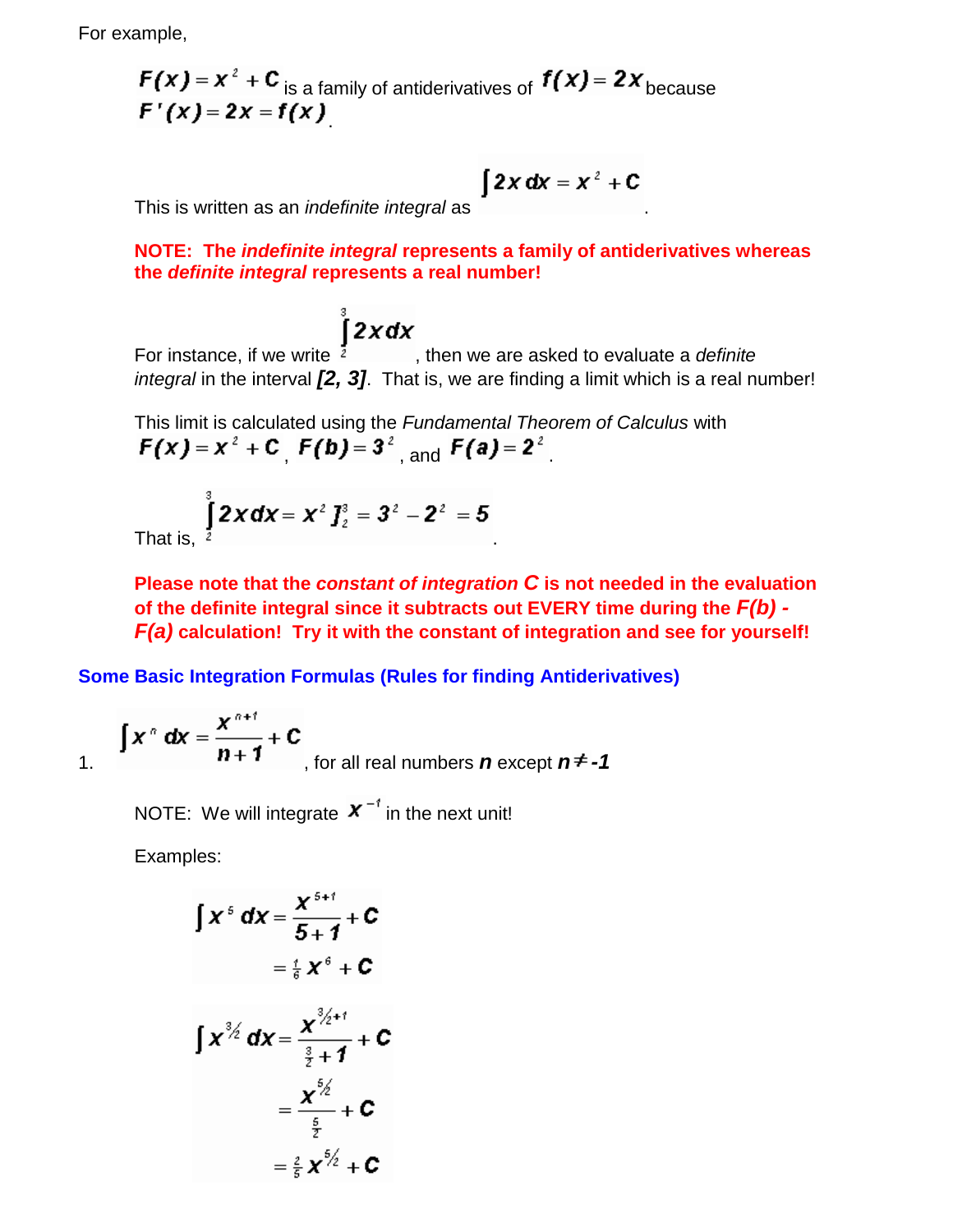For example,

$$
F(x) = x2 + Cis a family of antiderivatives of f(x) = 2xbecause
$$
  
F'(x) = 2x = f(x)

$$
\int 2x \, dx = x^2 + C
$$

This is written as an *indefinite integral* as .

**NOTE: The** *indefinite integral* **represents a family of antiderivatives whereas the** *definite integral* **represents a real number!**

For instance, if we write  $\int_{a}^{b}$  **2xdx**, then we are asked to evaluate a *definite integral* in the interval **[2, 3]**. That is, we are finding a limit which is a real number!

This limit is calculated using the *Fundamental Theorem of Calculus* with  $F(x) = x^2 + C$ ,  $F(b) = 3^2$ , and  $F(a) = 2^2$ .

That is, 
$$
\int_{2}^{3} 2x dx = x^{2} J_{2}^{3} = 3^{2} - 2^{2} = 5
$$

**Please note that the** *constant of integration C* **is not needed in the evaluation of the definite integral since it subtracts out EVERY time during the** *F(b) - F(a)* **calculation! Try it with the constant of integration and see for yourself!**

**Some Basic Integration Formulas (Rules for finding Antiderivatives)**

$$
\int x^{n} dx = \frac{x^{n+1}}{n+1} + C
$$
, for all real numbers *n* except  $n \ne -1$ 

NOTE: We will integrate  $\boldsymbol{X}^{-1}$  in the next unit!

Examples:

$$
\int x^5 dx = \frac{x^{5+1}}{5+1} + C
$$
  
\n
$$
= \frac{t}{6} x^6 + C
$$
  
\n
$$
\int x^{3/2} dx = \frac{x^{3/2+1}}{\frac{3}{2}+1} + C
$$
  
\n
$$
= \frac{x^{5/2}}{\frac{5}{2}} + C
$$
  
\n
$$
= \frac{2}{5} x^{5/2} + C
$$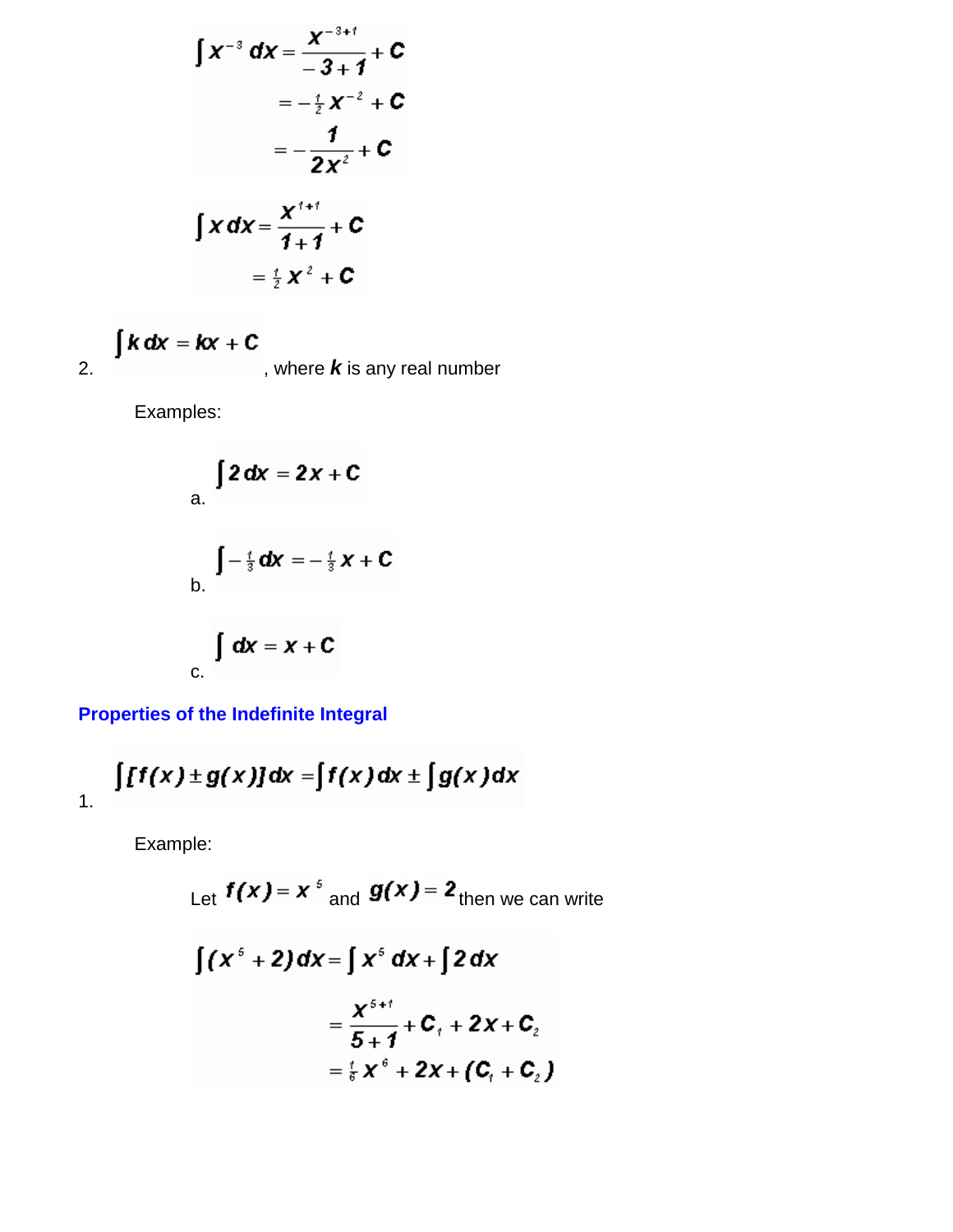$$
\int x^{-3} dx = \frac{x^{-3+t}}{-3+1} + C
$$
  
=  $-\frac{1}{2}x^{-2} + C$   
=  $-\frac{1}{2}x^{-2} + C$   

$$
\int x dx = \frac{x^{t+t}}{1+1} + C
$$
  
=  $\frac{1}{2}x^{2} + C$ 

$$
\int k \, dx = kx + C
$$
, where **k** is any real number

Examples:

a. 
$$
\int 2 dx = 2x + C
$$
  
\nb. 
$$
\int -\frac{t}{3} dx = -\frac{t}{3}x + C
$$
  
\nc. 
$$
\int dx = x + C
$$

**Properties of the Indefinite Integral**

$$
\int [f(x) \pm g(x)] dx = \int f(x) dx \pm \int g(x) dx
$$

Example:

Let 
$$
f(x) = x^5
$$
 and  $g(x) = 2$   
\n
$$
\int (x^5 + 2) dx = \int x^5 dx + \int 2 dx
$$
\n
$$
= \frac{x^{5+1}}{5+1} + C_1 + 2x + C_2
$$
\n
$$
= \frac{7}{5}x^5 + 2x + C_1 + C_2
$$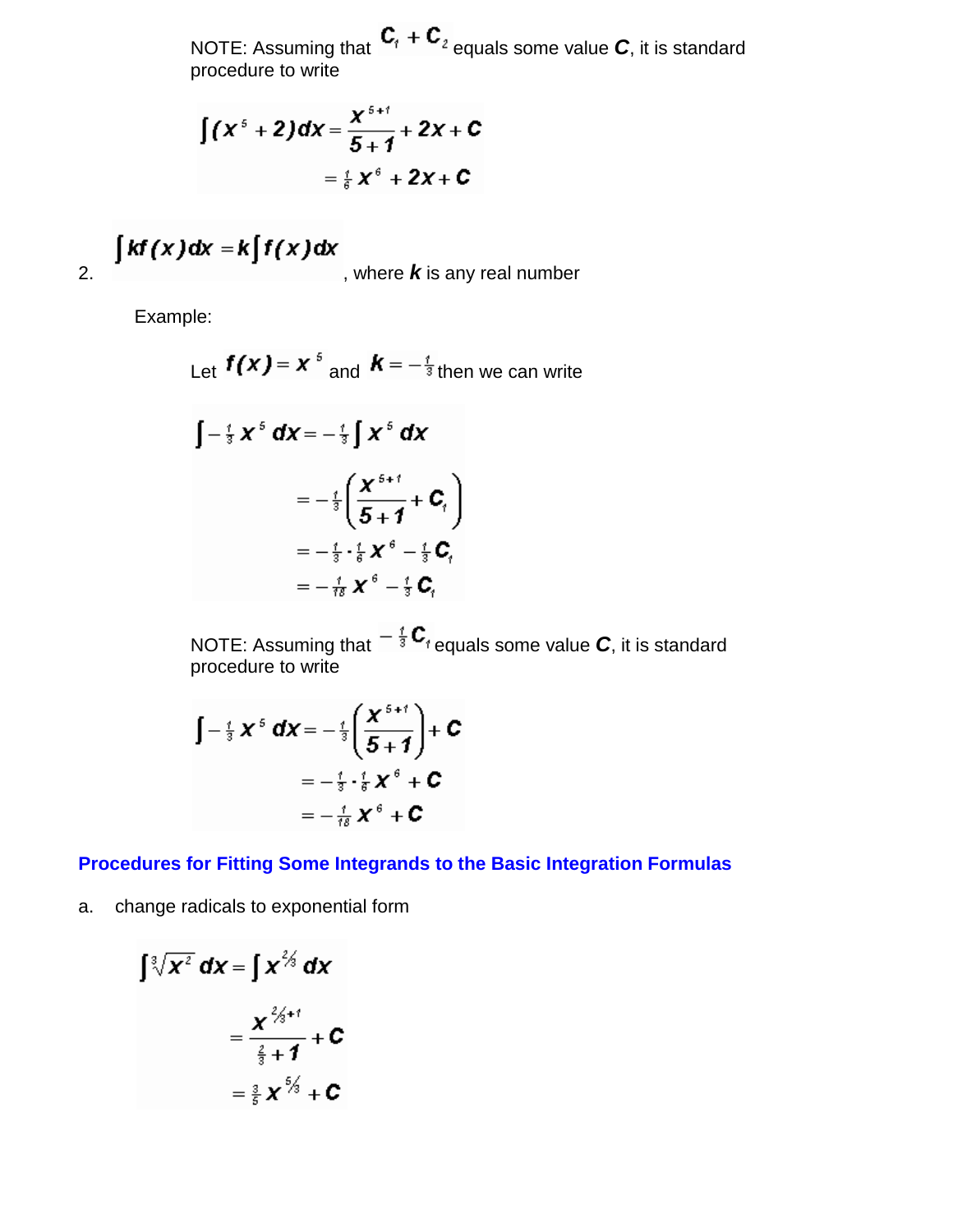NOTE: Assuming that  $C_1 + C_2$  equals some value *C*, it is standard procedure to write

$$
\int (x^5 + 2) dx = \frac{x^{5+i}}{5+1} + 2x + C
$$

$$
= \frac{1}{6}x^6 + 2x + C
$$

$$
\int kf(x)dx = k\int f(x)dx
$$
, where **k** is any real number

Example:

Let 
$$
f(x) = x^5
$$
 and  $K = -\frac{1}{3}$  then we can write  
\n
$$
\int -\frac{1}{3}x^5 dx = -\frac{1}{3}\int x^5 dx
$$
\n
$$
= -\frac{1}{3}\left(\frac{x^{5+i}}{5+1} + C_1\right)
$$
\n
$$
= -\frac{1}{3} \cdot \frac{1}{6}x^6 - \frac{1}{3}C_1
$$
\n
$$
= -\frac{1}{18}x^6 - \frac{1}{3}C_1
$$

NOTE: Assuming that  $-\frac{1}{3}$   $C_{1}$  equals some value *C*, it is standard procedure to write

$$
\int -\frac{t}{3} \mathbf{X}^5 \mathbf{d} \mathbf{X} = -\frac{t}{3} \left( \frac{\mathbf{X}^{5+t}}{5+1} \right) + \mathbf{C}
$$

$$
= -\frac{t}{3} \cdot \frac{t}{6} \mathbf{X}^6 + \mathbf{C}
$$

$$
= -\frac{t}{18} \mathbf{X}^6 + \mathbf{C}
$$

**Procedures for Fitting Some Integrands to the Basic Integration Formulas**

a. change radicals to exponential form

$$
\int \sqrt[3]{x^2} \, dx = \int x^{\frac{2}{3}} \, dx
$$

$$
= \frac{x^{\frac{2}{3}+1}}{\frac{2}{3}+1} + C
$$

$$
= \frac{3}{5} x^{\frac{6}{3}} + C
$$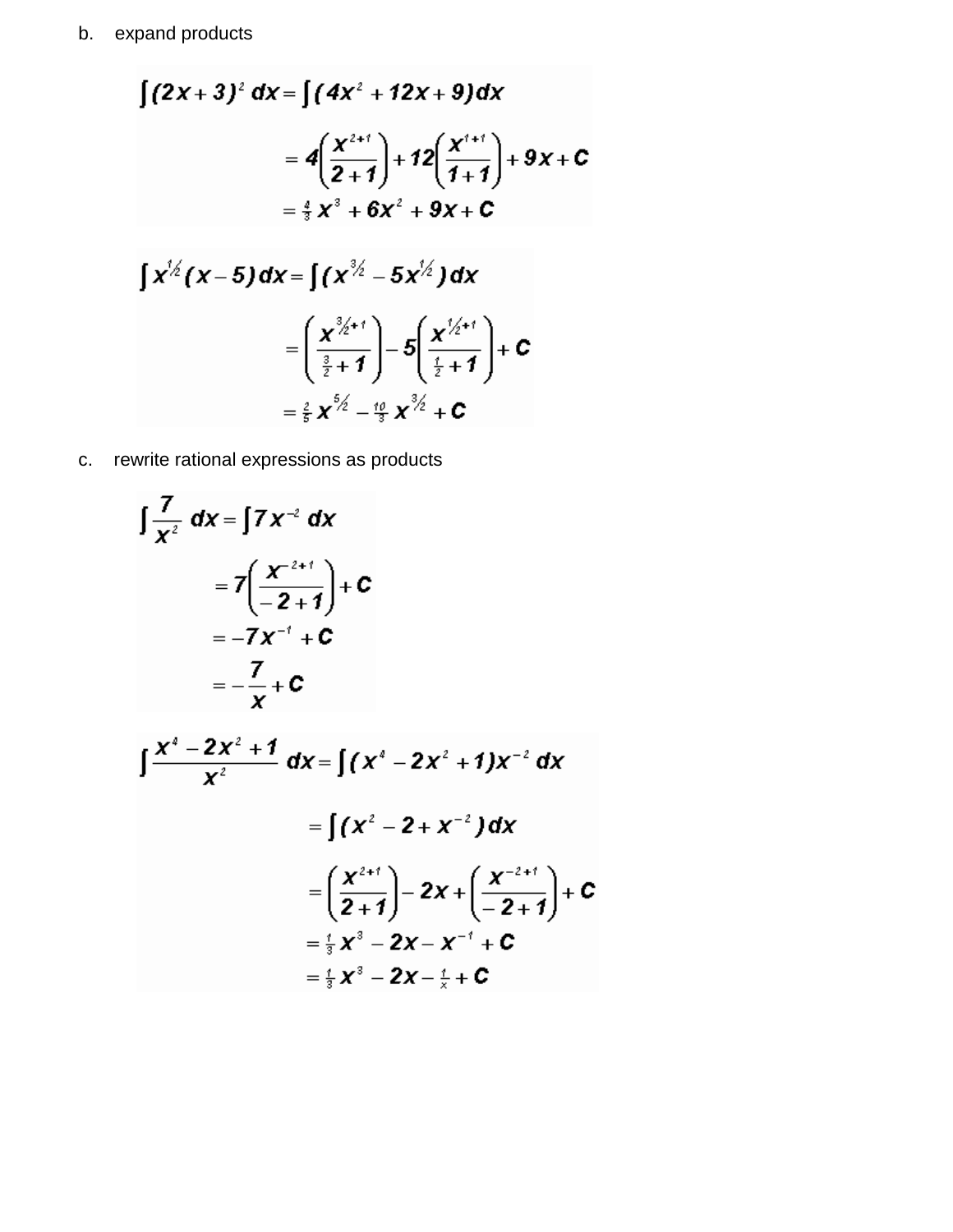$$
\int (2x+3)^2 dx = \int (4x^2 + 12x + 9) dx
$$
  
\n
$$
= 4\left(\frac{x^{2+1}}{2+1}\right) + 12\left(\frac{x^{4+1}}{1+1}\right) + 9x + C
$$
  
\n
$$
= \frac{4}{3}x^3 + 6x^2 + 9x + C
$$
  
\n
$$
\int x^{1/2} (x-5) dx = \int (x^{3/2} - 5x^{1/2}) dx
$$
  
\n
$$
= \left(\frac{x^{3/2+1}}{\frac{3}{2}+1}\right) - 5\left(\frac{x^{1/2+1}}{\frac{1}{2}+1}\right) + C
$$
  
\n
$$
= \frac{2}{5}x^{5/2} - \frac{10}{3}x^{3/2} + C
$$

c. rewrite rational expressions as products

$$
\int \frac{7}{x^2} dx = \int 7x^{-2} dx
$$
  
\n
$$
= 7\left(\frac{x^{-2+1}}{-2+1}\right) + C
$$
  
\n
$$
= -7x^{-1} + C
$$
  
\n
$$
= -\frac{7}{x} + C
$$
  
\n
$$
\int \frac{x^4 - 2x^2 + 1}{x^2} dx = \int (x^4 - 2x^2 + 1)x^{-2} dx
$$
  
\n
$$
= \int (x^2 - 2 + x^{-2}) dx
$$

$$
= \left(\frac{x^{2+i}}{2+1}\right) - 2x + \left(\frac{x^{-2+i}}{-2+1}\right) + C
$$
  
=  $\frac{1}{3}x^3 - 2x - x^{-1} + C$   
=  $\frac{1}{3}x^3 - 2x - \frac{1}{x} + C$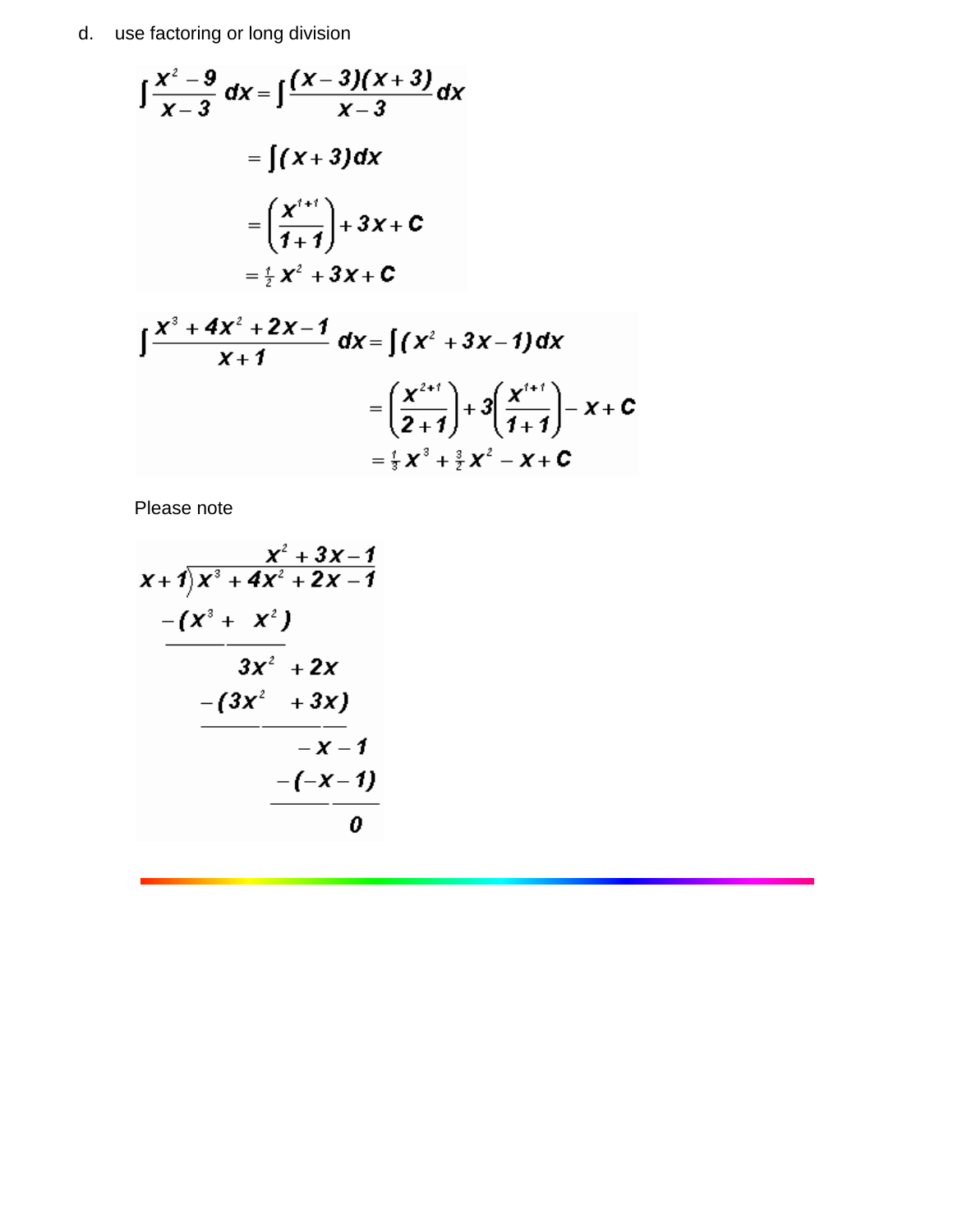d. use factoring or long division

$$
\int \frac{x^2 - 9}{x - 3} dx = \int \frac{(x - 3)(x + 3)}{x - 3} dx
$$
  
= 
$$
\int (x + 3) dx
$$
  
= 
$$
\left(\frac{x^{t+1}}{1 + 1}\right) + 3x + C
$$
  
= 
$$
\frac{1}{2}x^2 + 3x + C
$$

$$
\int \frac{x^3 + 4x^2 + 2x - 1}{x + 1} dx = \int (x^2 + 3x - 1) dx
$$
  
=  $\left(\frac{x^{2+i}}{2+1}\right) + 3\left(\frac{x^{i+i}}{1+1}\right) - x + C$   
=  $\frac{1}{3}x^3 + \frac{3}{2}x^2 - x + C$ 

Please note

$$
\begin{array}{r}\n x+7 \overline{\smash{\big)}\ x^3+4 x^2+2 x-1} \\
-\underline{\qquad \qquad } (x^3+ x^2) \\
-\underline{\qquad \qquad } (3 x^2+2 x) \\
-\underline{\qquad \qquad } (3 x^2+3 x) \\
-\underline{\qquad \qquad } (x-1) \\
-\underline{\qquad \qquad } (x-1) \\
\underline{\qquad \qquad } (x-1) \\
\underline{\qquad \qquad } (x-1) \\
\underline{\qquad \qquad } (x-1) \\
\underline{\qquad \qquad } (x-1) \\
\underline{\qquad \qquad } (x-1) \\
\underline{\qquad \qquad } (x-1) \\
\underline{\qquad \qquad } (x-1) \\
\underline{\qquad \qquad } (x-1) \\
\underline{\qquad \qquad } (x-1) \\
\underline{\qquad \qquad } (x-1) \\
\underline{\qquad \qquad } (x-1) \\
\underline{\qquad \qquad } (x-1) \\
\underline{\qquad \qquad } (x-1) \\
\underline{\qquad \qquad } (x-1) \\
\underline{\qquad \qquad } (x-1) \\
\underline{\qquad \qquad } (x-1) \\
\underline{\qquad \qquad } (x-1) \\
\underline{\qquad \qquad } (x-1) \\
\underline{\qquad \qquad } (x-1) \\
\underline{\qquad \qquad } (x-1) \\
\underline{\qquad \qquad } (x-1) \\
\underline{\qquad \qquad } (x-1) \\
\underline{\qquad \qquad } (x-1) \\
\underline{\qquad \qquad } (x-1) \\
\underline{\qquad \qquad } (x-1) \\
\underline{\qquad \qquad } (x-1) \\
\underline{\qquad \qquad } (x-1) \\
\underline{\qquad \qquad } (x-1) \\
\underline{\qquad \qquad } (x-1) \\
\underline{\qquad \qquad } (x-1) \\
\underline{\qquad \qquad } (x-1) \\
\underline{\qquad \qquad } (x-1) \\
\underline{\qquad \qquad } (x-1) \\
\underline{\qquad \qquad } (x-1) \\
\underline{\qquad \qquad } (x-1) \\
\underline{\qquad \qquad } (x-1) \\
\underline{\qquad \qquad } (x-1) \\
\underline{\qquad \qquad } (x-1) \\
\underline{\qquad \qquad } (x-1) \\
\underline{\qquad \qquad } (x-1) \\
\underline{\qquad \qquad } (x-1) \\
\underline{\qquad \qquad } (x-1) \\
\underline
$$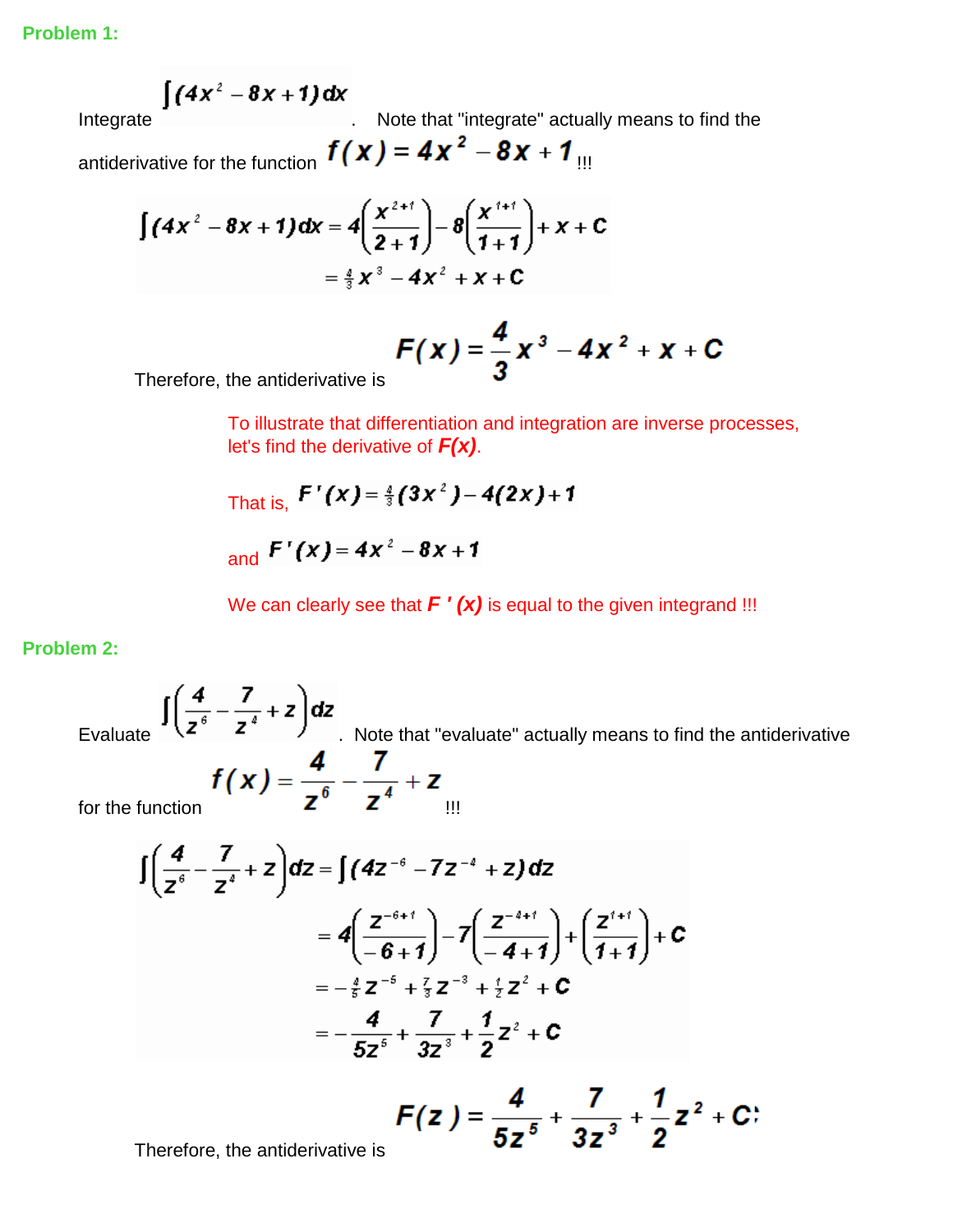$$
\int (4x^2-8x+1) dx
$$

Integrate **Integrate Integrate noise in the United States in the United States in the Integrate's actually means to find the** 

antiderivative for the function  $f(x) = 4x^2 - 8x + 1$  III

$$
\int (4x^2 - 8x + 1) dx = 4\left(\frac{x^{2+1}}{2+1}\right) - 8\left(\frac{x^{2+1}}{1+1}\right) + x + C
$$

$$
= \frac{4}{3}x^3 - 4x^2 + x + C
$$

$$
F(x) = \frac{4}{3}x^3 - 4x^2 + x + C
$$

Therefore, the antiderivative is

To illustrate that differentiation and integration are inverse processes, let's find the derivative of *F(x)*.

That is, 
$$
F'(x) = \frac{4}{3}(3x^2) - 4(2x) + 1
$$
  
and  $F'(x) = 4x^2 - 8x + 1$ 

We can clearly see that  $F'(x)$  is equal to the given integrand !!!

**Problem 2:**

Evaluate  $\lambda$   $\lambda$   $\lambda$  . Note that "evaluate" actually means to find the antiderivative for the function  $\boldsymbol{\mathsf{z}}$   $\boldsymbol{\mathsf{z}}$   $\boldsymbol{\mathsf{z}}$   $\boldsymbol{\mathsf{u}}$ 

$$
\begin{split} \int \left(\frac{4}{z^{6}} - \frac{7}{z^{4}} + z\right) dz &= \int (4z^{-6} - 7z^{-4} + z) \, dz \\ &= 4\left(\frac{z^{-6+1}}{-6+1}\right) - 7\left(\frac{z^{-4+1}}{-4+1}\right) + \left(\frac{z^{4+1}}{1+1}\right) + c \\ &= -\frac{4}{5}z^{-6} + \frac{7}{5}z^{-3} + \frac{4}{5}z^{2} + c \\ &= -\frac{4}{5z^{6}} + \frac{7}{3z^{3}} + \frac{1}{2}z^{2} + c \end{split}
$$
\n
$$
F(z) = \frac{4}{5z^{5}} + \frac{7}{3z^{3}} + \frac{1}{2}z^{2} + c
$$

 $3z^3$ 

Therefore, the antiderivative is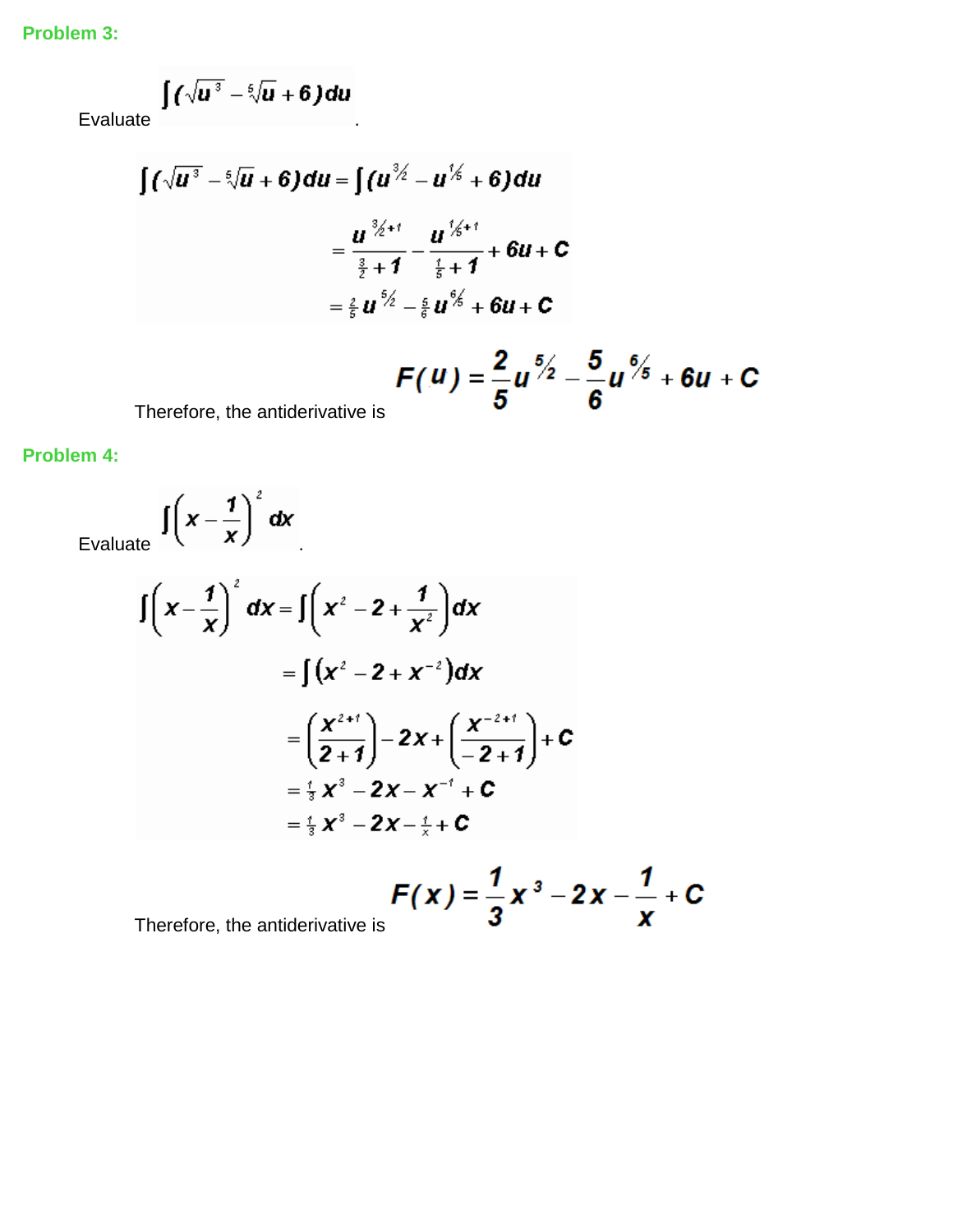**Problem 3:**

$$
\int \left(\sqrt{u^3}-\sqrt[6]{u}+6\right) du
$$

**Evaluate** 

$$
\int (\sqrt{u^3} - \sqrt[6]{u} + 6) du = \int (u^{\frac{3}{2}} - u^{\frac{1}{3}} + 6) du
$$
  
\n
$$
= \frac{u^{\frac{3}{2}+1}}{\frac{3}{2}+1} - \frac{u^{\frac{1}{3}+1}}{\frac{1}{5}+1} + 6u + C
$$
  
\n
$$
= \frac{2}{5}u^{\frac{6}{2}} - \frac{5}{6}u^{\frac{6}{3}} + 6u + C
$$
  
\n
$$
F(u) = \frac{2}{5}u^{\frac{6}{2}} - \frac{5}{6}u^{\frac{6}{3}} + 6u + C
$$

Therefore, the antiderivative is

**Problem 4:**

Evaluate  $\int (x - \frac{1}{x})^2 dx$ 

$$
\int \left( x - \frac{1}{x} \right)^2 dx = \int \left( x^2 - 2 + \frac{1}{x^2} \right) dx
$$
  
\n
$$
= \int (x^2 - 2 + x^{-2}) dx
$$
  
\n
$$
= \left( \frac{x^{2+1}}{2+1} \right) - 2x + \left( \frac{x^{-2+1}}{-2+1} \right) + c
$$
  
\n
$$
= \frac{1}{3} x^3 - 2x - x^{-1} + c
$$
  
\n
$$
= \frac{1}{3} x^3 - 2x - \frac{1}{x} + c
$$

 $F(x) = \frac{1}{3}x^3 - 2x - \frac{1}{x} + C$ <br>Therefore, the antiderivative is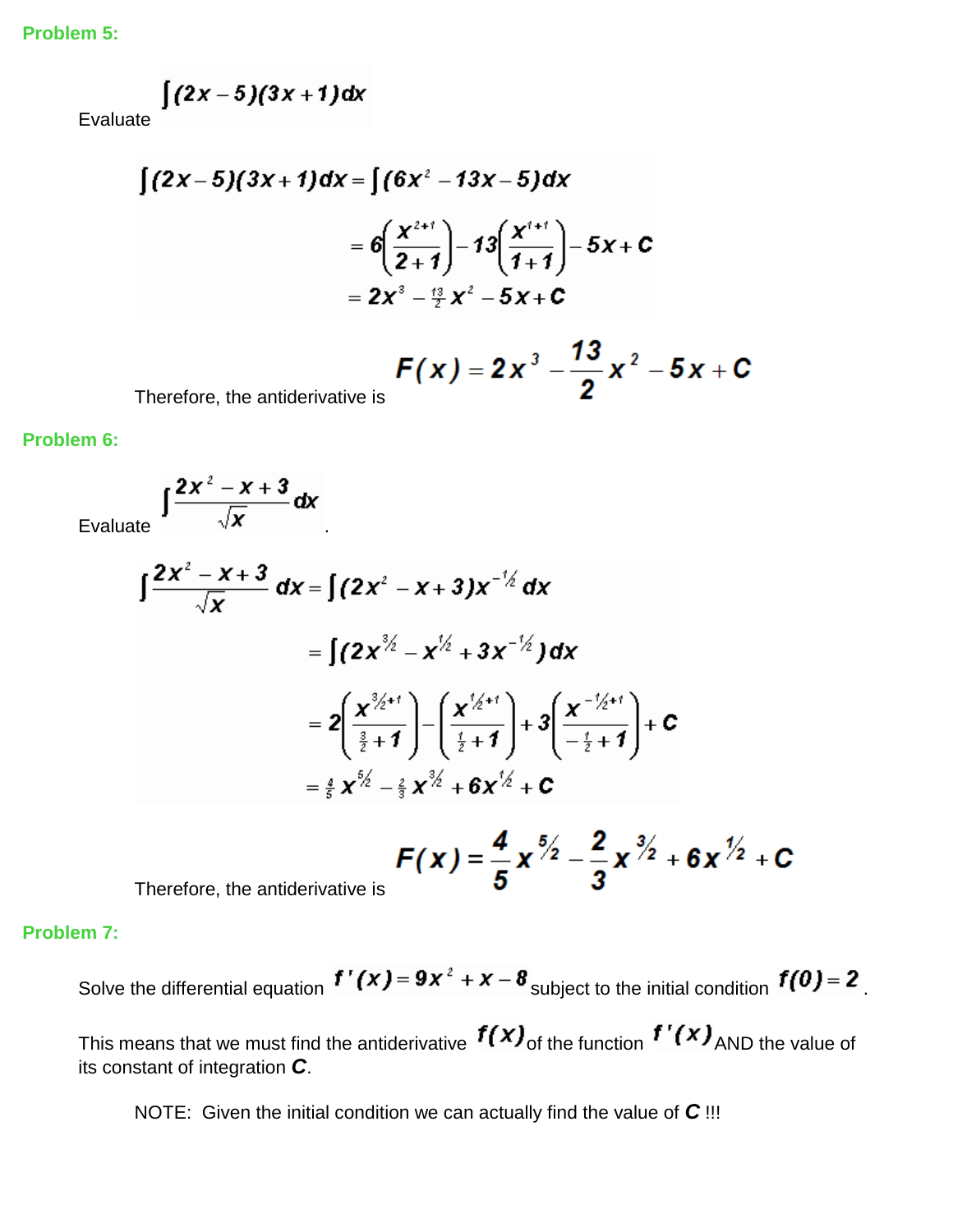**Problem 5:**

$$
\int (2x-5)(3x+1) dx
$$

Eva

$$
\int (2x-5)(3x+1)dx = \int (6x^2 - 13x - 5)dx
$$
  
=  $6\left(\frac{x^{2+1}}{2+1}\right) - 13\left(\frac{x^{1+1}}{1+1}\right) - 5x + C$   
=  $2x^3 - \frac{13}{2}x^2 - 5x + C$ 

$$
F(x) = 2x^3 - \frac{73}{2}x^2 - 5x + C
$$

Therefore, the antiderivative is

**Problem 6:**

Evaluate  $\int \frac{2x^2 - x + 3}{\sqrt{x}} dx$ 

$$
\int \frac{2x^2 - x + 3}{\sqrt{x}} dx = \int (2x^2 - x + 3)x^{-\frac{1}{2}} dx
$$
  
\n
$$
= \int (2x^{\frac{3}{2}} - x^{\frac{1}{2}} + 3x^{-\frac{1}{2}}) dx
$$
  
\n
$$
= 2\left(\frac{x^{\frac{3}{2}+1}}{\frac{3}{2}+1}\right) - \left(\frac{x^{\frac{1}{2}+1}}{\frac{1}{2}+1}\right) + 3\left(\frac{x^{-\frac{1}{2}+1}}{-\frac{1}{2}+1}\right) + c
$$
  
\n
$$
= \frac{4}{5}x^{\frac{5}{2}} - \frac{2}{5}x^{\frac{3}{2}} + 6x^{\frac{1}{2}} + c
$$
  
\n
$$
F(x) = \frac{4}{5}x^{\frac{5}{2}} - \frac{2}{5}x^{\frac{3}{2}} + 6x^{\frac{1}{2}} + c
$$

$$
F(x) = \frac{4}{5} x^{5/2} - \frac{2}{3} x^{3/2} + 6 x^{7/2} + C
$$

Therefore, the antiderivative is

**Problem 7:**

Solve the differential equation  $f'(x) = 9x^2 + x - 8$  subject to the initial condition  $f(0) = 2$ .

This means that we must find the antiderivative  $f(x)$  of the function  $f'(x)$  AND the value of its constant of integration *C*.

NOTE: Given the initial condition we can actually find the value of *C* !!!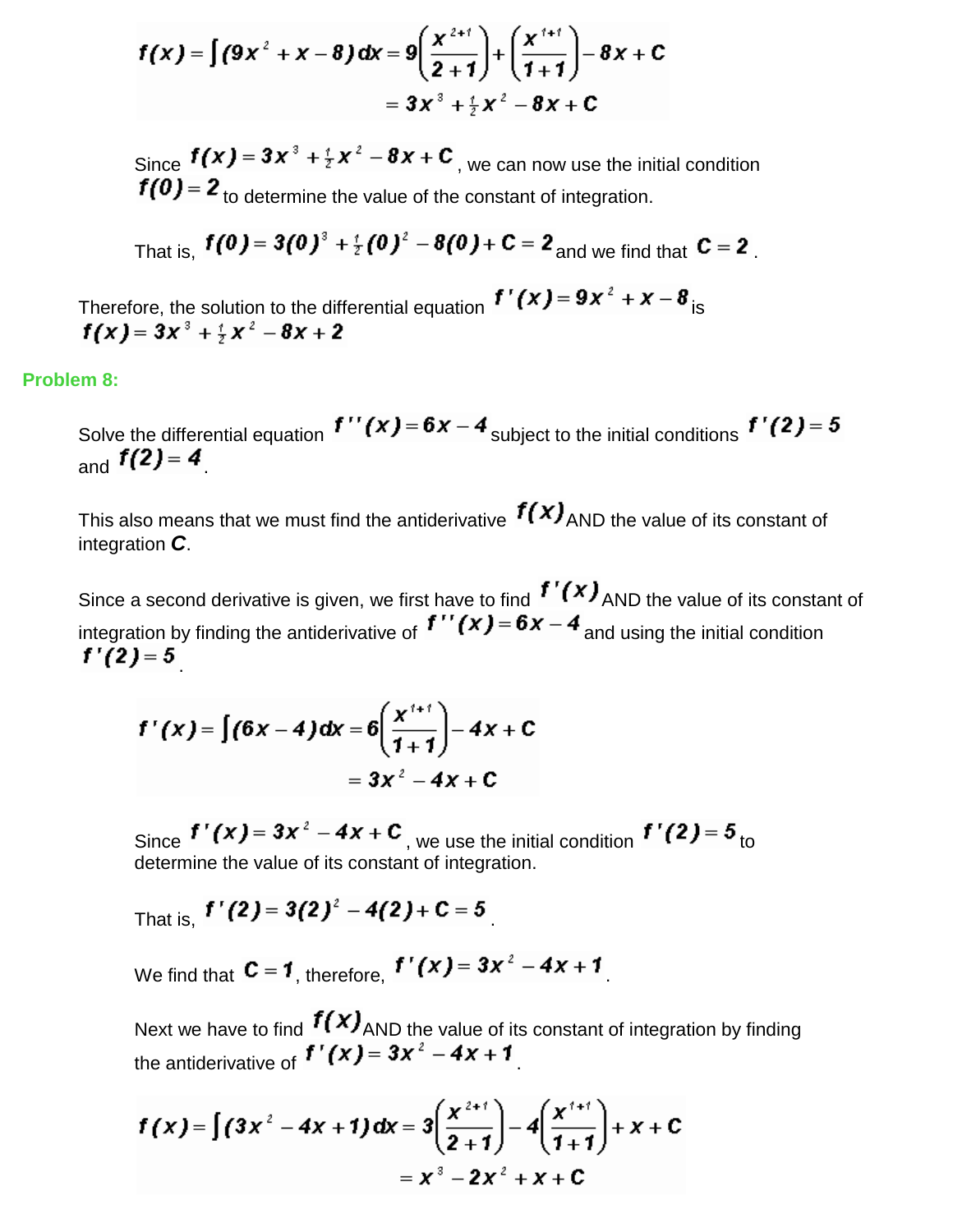$$
f(x) = \int (9x^2 + x - 8) dx = 9\left(\frac{x^{2+1}}{2+1}\right) + \left(\frac{x^{3+1}}{1+1}\right) - 8x + C
$$
  
=  $3x^3 + \frac{1}{2}x^2 - 8x + C$ 

Since  $f(x) = 3x^3 + \frac{1}{2}x^2 - 8x + C$ , we can now use the initial condition  $f(0) = 2$  to determine the value of the constant of integration.

That is, 
$$
f(0) = 3(0)^3 + \frac{1}{2}(0)^2 - 8(0) + C = 2
$$
 and we find that  $C = 2$ .

Therefore, the solution to the differential equation  $f'(x) = 9x^2 + x - 8$  is  $f(x) = 3x^3 + \frac{4}{x}x^2 - 8x + 2$ 

#### **Problem 8:**

Solve the differential equation  $f''(x) = 6x - 4$  subject to the initial conditions  $f'(2) = 5$ and  $f(2)=4$ 

This also means that we must find the antiderivative  $f(x)$ <sub>AND</sub> the value of its constant of integration *C*.

Since a second derivative is given, we first have to find  $f'(x)$  AND the value of its constant of integration by finding the antiderivative of  $f''(x) = 6x - 4$  and using the initial condition  $f'(2)=5$ 

$$
f'(x) = \int (6x-4) dx = 6\left(\frac{x^{1+1}}{1+1}\right) - 4x + C
$$

$$
= 3x^2 - 4x + C
$$

Since  $f'(x) = 3x^2 - 4x + C$ , we use the initial condition  $f'(2) = 5$  to determine the value of its constant of integration.

That is,  $f'(2) = 3(2)^2 - 4(2) + C = 5$ 

We find that  $C = 1$ , therefore,  $f'(x) = 3x^2 - 4x + 1$ 

Next we have to find  $f(x)$ <sub>AND</sub> the value of its constant of integration by finding the antiderivative of  $f'(x) = 3x^2 - 4x + 1$ 

$$
f(x) = \int (3x^2 - 4x + 1) dx = 3\left(\frac{x^{2+1}}{2+1}\right) - 4\left(\frac{x^{1+1}}{1+1}\right) + x + C
$$

$$
= x^3 - 2x^2 + x + C
$$